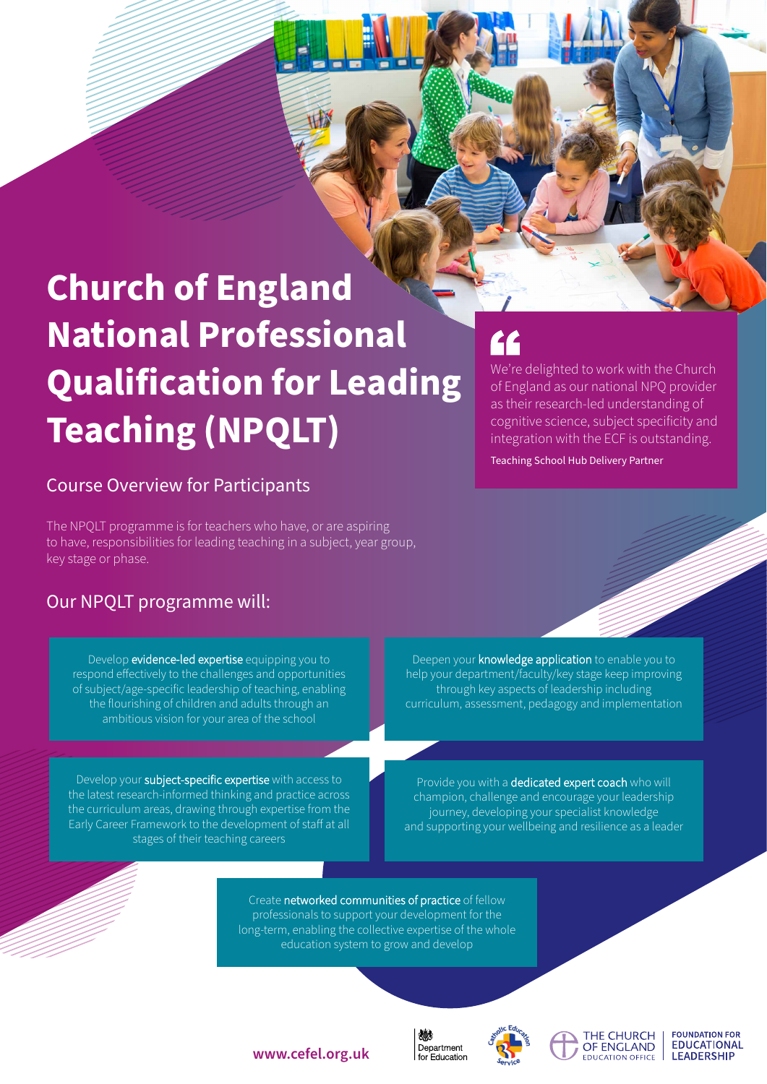# **Church of England National Professional Qualification for Leading Teaching (NPQLT)**

# Course Overview for Participants

The NPQLT programme is for teachers who have, or are aspiring to have, responsibilities for leading teaching in a subject, year group, key stage or phase.

# Our NPQLT programme will:

Develop evidence-led expertise equipping you to respond effectively to the challenges and opportunities of subject/age-specific leadership of teaching, enabling the flourishing of children and adults through an ambitious vision for your area of the school

Develop your subject-specific expertise with access to the latest research-informed thinking and practice across the curriculum areas, drawing through expertise from the Early Career Framework to the development of staff at all stages of their teaching careers

We're delighted to work with the Church of England as our national NPQ provider as their research-led understanding of cognitive science, subject specificity and integration with the ECF is outstanding.

Teaching School Hub Delivery Partner

Deepen your knowledge application to enable you to help your department/faculty/key stage keep improving through key aspects of leadership including curriculum, assessment, pedagogy and implementation

Provide you with a dedicated expert coach who will champion, challenge and encourage your leadership journey, developing your specialist knowledge and supporting your wellbeing and resilience as a leader

Create networked communities of practice of fellow professionals to support your development for the long-term, enabling the collective expertise of the whole education system to grow and develop





THE CHURCH

OF ENGLAND

EDUCATION OFFICE

**FOUNDATION FOR EDUCATIONAL LEADERSHIP** 

**www.cefel.org.uk**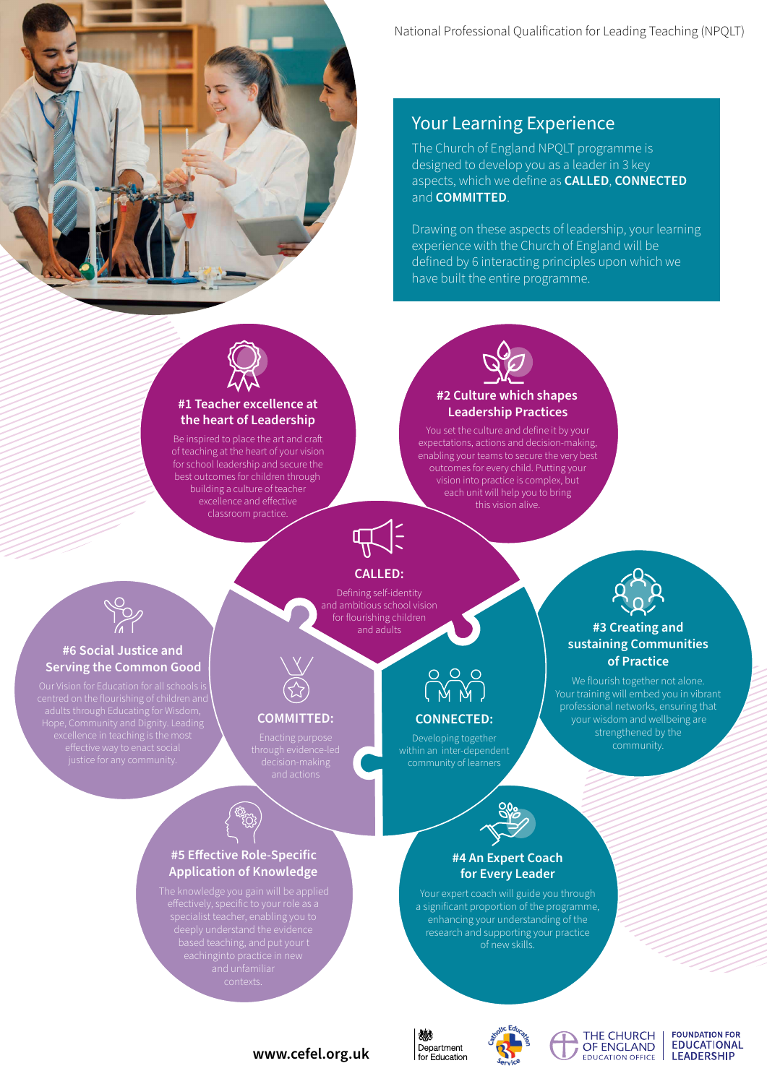

# Your Learning Experience

The Church of England NPQLT programme is designed to develop you as a leader in 3 key aspects, which we define as **CALLED**, **CONNECTED** and **COMMITTED**.

Drawing on these aspects of leadership, your learning experience with the Church of England will be defined by 6 interacting principles upon which we have built the entire programme.



### **#1 Teacher excellence at the heart of Leadership**

Be inspired to place the art and craft of teaching at the heart of your vision for school leadership and secure the best outcomes for children through building a culture of teacher excellence and effective classroom practice.



You set the culture and define it by your expectations, actions and decision-making, enabling your teams to secure the very best outcomes for every child. Putting your vision into practice is complex, but each unit will help you to bring this vision alive.



### **CALLED:**

Defining self-identity and ambitious school vision for flourishing children and adults



**#3 Creating and sustaining Communities of Practice** We flourish together not alone. Your training will embed you in vibrant professional networks, ensuring that your wisdom and wellbeing are strengthened by the community.



### **#6 Social Justice and Serving the Common Good**



### **COMMITTED:**

**#5 Effective Role-Specific Application of Knowledge**

Developing together



### **#4 An Expert Coach for Every Leader**

Your expert coach will guide you through a significant proportion of the programme, enhancing your understanding of the research and supporting your practice of new skills.







### **FOUNDATION FOR EDUCATIONAL LEADERSHIP**

### **www.cefel.org.uk**



**CONNECTED:**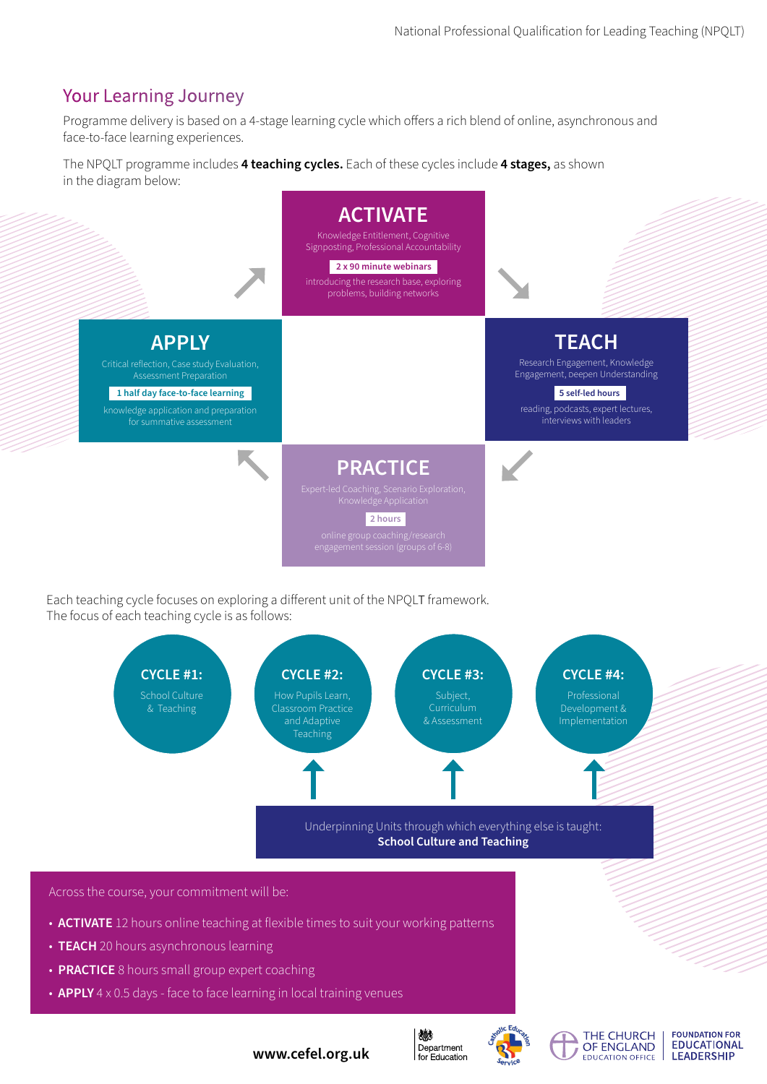# Your Learning Journey

Programme delivery is based on a 4-stage learning cycle which offers a rich blend of online, asynchronous and face-to-face learning experiences.

The NPQLT programme includes **4 teaching cycles.** Each of these cycles include **4 stages,** as shown in the diagram below:



Each teaching cycle focuses on exploring a different unit of the NPQLT framework. The focus of each teaching cycle is as follows:



- **ACTIVATE** 12 hours online teaching at flexible times to suit your working patterns
- **TEACH** 20 hours asynchronous learning
- **PRACTICE** 8 hours small group expert coaching
- **APPLY** 4 x 0.5 days face to face learning in local training venues



燃

Department

for Education



**FOUNDATION FOR EDUCATIONAL LEADERSHIP** 

**www.cefel.org.uk**